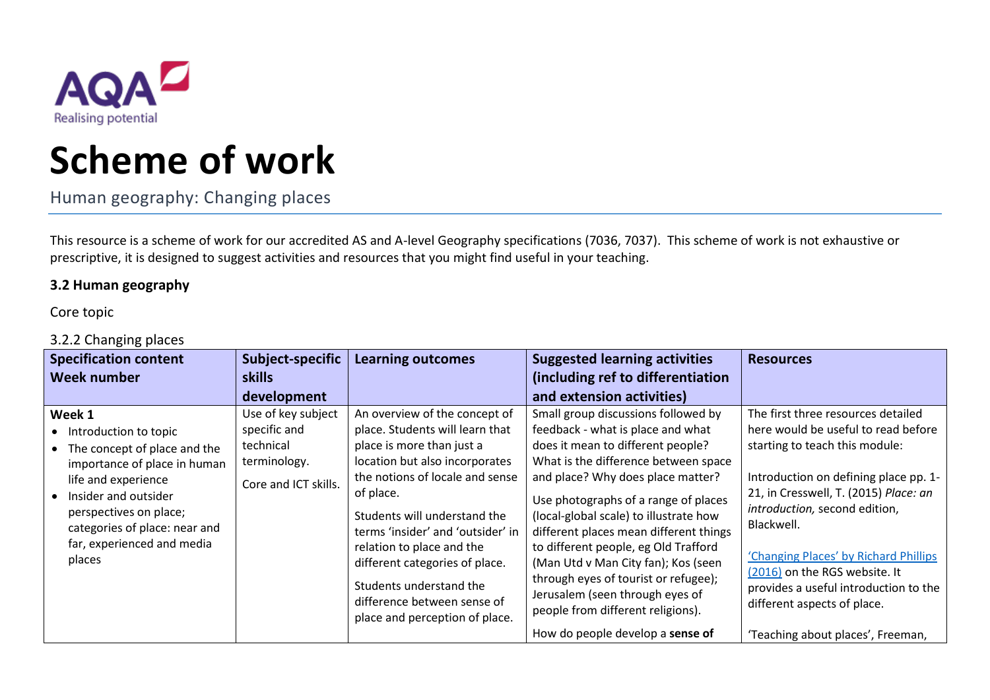

## **Scheme of work**

Human geography: Changing places

This resource is a scheme of work for our accredited AS and A-level Geography specifications (7036, 7037). This scheme of work is not exhaustive or prescriptive, it is designed to suggest activities and resources that you might find useful in your teaching.

## **3.2 Human geography**

Core topic

## 3.2.2 Changing places

| <b>Specification content</b>                                                                                                                                                                                                                          | Subject-specific                                                                        | <b>Learning outcomes</b>                                                                                                                                                                                                                                                                                                                                                                                        | <b>Suggested learning activities</b>                                                                                                                                                                                                                                                                                                                                                                                                                                                                                  | <b>Resources</b>                                                                                                                                                                                                                                                                                                                                                                               |
|-------------------------------------------------------------------------------------------------------------------------------------------------------------------------------------------------------------------------------------------------------|-----------------------------------------------------------------------------------------|-----------------------------------------------------------------------------------------------------------------------------------------------------------------------------------------------------------------------------------------------------------------------------------------------------------------------------------------------------------------------------------------------------------------|-----------------------------------------------------------------------------------------------------------------------------------------------------------------------------------------------------------------------------------------------------------------------------------------------------------------------------------------------------------------------------------------------------------------------------------------------------------------------------------------------------------------------|------------------------------------------------------------------------------------------------------------------------------------------------------------------------------------------------------------------------------------------------------------------------------------------------------------------------------------------------------------------------------------------------|
| <b>Week number</b>                                                                                                                                                                                                                                    | <b>skills</b>                                                                           |                                                                                                                                                                                                                                                                                                                                                                                                                 | (including ref to differentiation                                                                                                                                                                                                                                                                                                                                                                                                                                                                                     |                                                                                                                                                                                                                                                                                                                                                                                                |
|                                                                                                                                                                                                                                                       | development                                                                             |                                                                                                                                                                                                                                                                                                                                                                                                                 | and extension activities)                                                                                                                                                                                                                                                                                                                                                                                                                                                                                             |                                                                                                                                                                                                                                                                                                                                                                                                |
| Week 1<br>• Introduction to topic<br>• The concept of place and the<br>importance of place in human<br>life and experience<br>Insider and outsider<br>perspectives on place;<br>categories of place: near and<br>far, experienced and media<br>places | Use of key subject<br>specific and<br>technical<br>terminology.<br>Core and ICT skills. | An overview of the concept of<br>place. Students will learn that<br>place is more than just a<br>location but also incorporates<br>the notions of locale and sense<br>of place.<br>Students will understand the<br>terms 'insider' and 'outsider' in<br>relation to place and the<br>different categories of place.<br>Students understand the<br>difference between sense of<br>place and perception of place. | Small group discussions followed by<br>feedback - what is place and what<br>does it mean to different people?<br>What is the difference between space<br>and place? Why does place matter?<br>Use photographs of a range of places<br>(local-global scale) to illustrate how<br>different places mean different things<br>to different people, eg Old Trafford<br>(Man Utd v Man City fan); Kos (seen<br>through eyes of tourist or refugee);<br>Jerusalem (seen through eyes of<br>people from different religions). | The first three resources detailed<br>here would be useful to read before<br>starting to teach this module:<br>Introduction on defining place pp. 1-<br>21, in Cresswell, T. (2015) Place: an<br>introduction, second edition,<br>Blackwell.<br>'Changing Places' by Richard Phillips<br>(2016) on the RGS website. It<br>provides a useful introduction to the<br>different aspects of place. |
|                                                                                                                                                                                                                                                       |                                                                                         |                                                                                                                                                                                                                                                                                                                                                                                                                 | How do people develop a sense of                                                                                                                                                                                                                                                                                                                                                                                                                                                                                      | 'Teaching about places', Freeman,                                                                                                                                                                                                                                                                                                                                                              |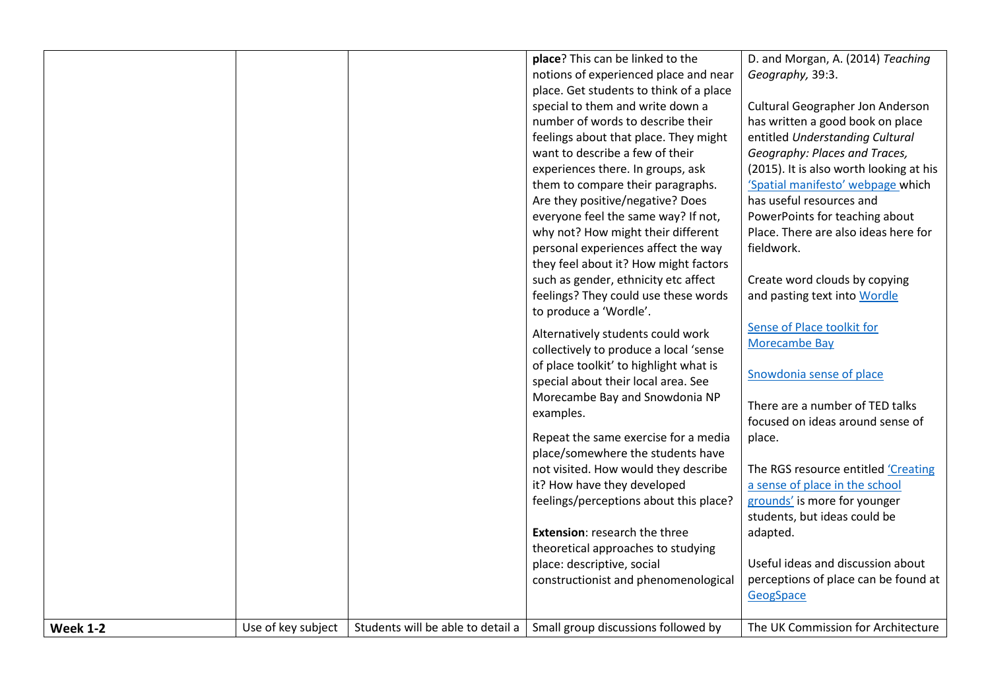|                 |                    | place? This can be linked to the                                          | D. and Morgan, A. (2014) Teaching       |
|-----------------|--------------------|---------------------------------------------------------------------------|-----------------------------------------|
|                 |                    | notions of experienced place and near                                     | Geography, 39:3.                        |
|                 |                    | place. Get students to think of a place                                   |                                         |
|                 |                    | special to them and write down a                                          | Cultural Geographer Jon Anderson        |
|                 |                    | number of words to describe their                                         | has written a good book on place        |
|                 |                    | feelings about that place. They might                                     | entitled Understanding Cultural         |
|                 |                    | want to describe a few of their                                           | Geography: Places and Traces,           |
|                 |                    | experiences there. In groups, ask                                         | (2015). It is also worth looking at his |
|                 |                    | them to compare their paragraphs.                                         | 'Spatial manifesto' webpage which       |
|                 |                    | Are they positive/negative? Does                                          | has useful resources and                |
|                 |                    | everyone feel the same way? If not,                                       | PowerPoints for teaching about          |
|                 |                    | why not? How might their different                                        | Place. There are also ideas here for    |
|                 |                    | personal experiences affect the way                                       | fieldwork.                              |
|                 |                    | they feel about it? How might factors                                     |                                         |
|                 |                    | such as gender, ethnicity etc affect                                      | Create word clouds by copying           |
|                 |                    | feelings? They could use these words                                      | and pasting text into Wordle            |
|                 |                    | to produce a 'Wordle'.                                                    |                                         |
|                 |                    | Alternatively students could work                                         | Sense of Place toolkit for              |
|                 |                    | collectively to produce a local 'sense                                    | Morecambe Bay                           |
|                 |                    | of place toolkit' to highlight what is                                    |                                         |
|                 |                    | special about their local area. See                                       | Snowdonia sense of place                |
|                 |                    | Morecambe Bay and Snowdonia NP                                            |                                         |
|                 |                    | examples.                                                                 | There are a number of TED talks         |
|                 |                    |                                                                           | focused on ideas around sense of        |
|                 |                    | Repeat the same exercise for a media                                      | place.                                  |
|                 |                    | place/somewhere the students have                                         |                                         |
|                 |                    | not visited. How would they describe                                      | The RGS resource entitled 'Creating     |
|                 |                    | it? How have they developed                                               | a sense of place in the school          |
|                 |                    | feelings/perceptions about this place?                                    | grounds' is more for younger            |
|                 |                    |                                                                           | students, but ideas could be            |
|                 |                    | <b>Extension: research the three</b>                                      | adapted.                                |
|                 |                    | theoretical approaches to studying                                        |                                         |
|                 |                    | place: descriptive, social                                                | Useful ideas and discussion about       |
|                 |                    | constructionist and phenomenological                                      | perceptions of place can be found at    |
|                 |                    |                                                                           | GeogSpace                               |
|                 |                    |                                                                           |                                         |
| <b>Week 1-2</b> | Use of key subject | Students will be able to detail a $ $ Small group discussions followed by | The UK Commission for Architecture      |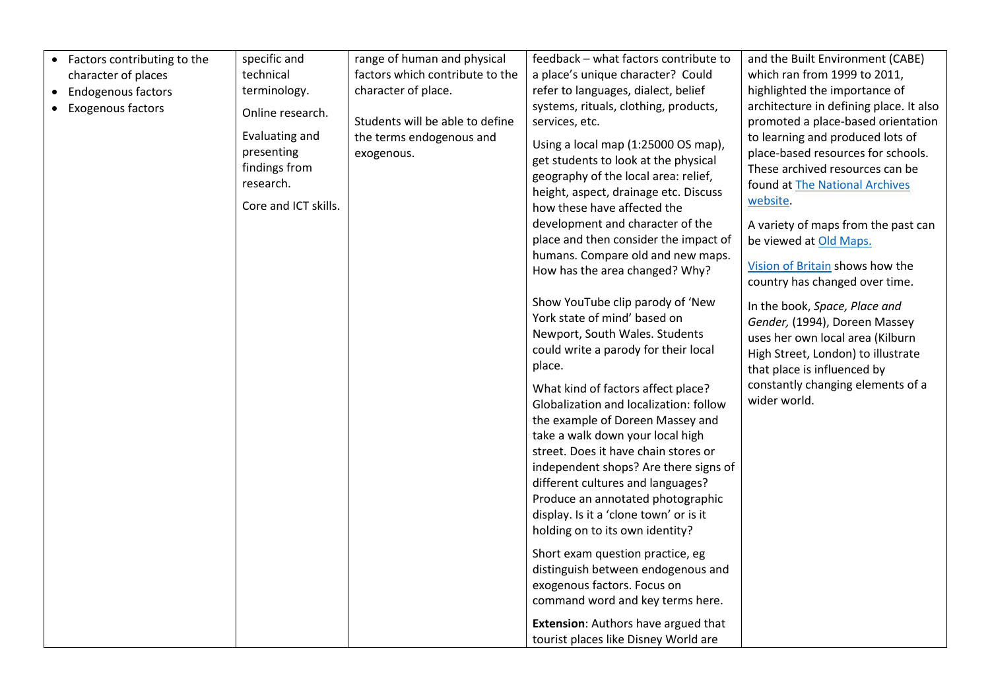| • Factors contributing to the | specific and         | range of human and physical     | feedback - what factors contribute to      | and the Built Environment (CABE)        |
|-------------------------------|----------------------|---------------------------------|--------------------------------------------|-----------------------------------------|
| character of places           | technical            | factors which contribute to the | a place's unique character? Could          | which ran from 1999 to 2011,            |
| <b>Endogenous factors</b>     | terminology.         | character of place.             | refer to languages, dialect, belief        | highlighted the importance of           |
| Exogenous factors             | Online research.     |                                 | systems, rituals, clothing, products,      | architecture in defining place. It also |
|                               |                      | Students will be able to define | services, etc.                             | promoted a place-based orientation      |
|                               | Evaluating and       | the terms endogenous and        | Using a local map (1:25000 OS map),        | to learning and produced lots of        |
|                               | presenting           | exogenous.                      | get students to look at the physical       | place-based resources for schools.      |
|                               | findings from        |                                 | geography of the local area: relief,       | These archived resources can be         |
|                               | research.            |                                 | height, aspect, drainage etc. Discuss      | found at The National Archives          |
|                               | Core and ICT skills. |                                 | how these have affected the                | website.                                |
|                               |                      |                                 | development and character of the           | A variety of maps from the past can     |
|                               |                      |                                 | place and then consider the impact of      | be viewed at Old Maps.                  |
|                               |                      |                                 | humans. Compare old and new maps.          |                                         |
|                               |                      |                                 | How has the area changed? Why?             | Vision of Britain shows how the         |
|                               |                      |                                 |                                            | country has changed over time.          |
|                               |                      |                                 | Show YouTube clip parody of 'New           | In the book, Space, Place and           |
|                               |                      |                                 | York state of mind' based on               | Gender, (1994), Doreen Massey           |
|                               |                      |                                 | Newport, South Wales. Students             | uses her own local area (Kilburn        |
|                               |                      |                                 | could write a parody for their local       | High Street, London) to illustrate      |
|                               |                      |                                 | place.                                     | that place is influenced by             |
|                               |                      |                                 |                                            | constantly changing elements of a       |
|                               |                      |                                 | What kind of factors affect place?         | wider world.                            |
|                               |                      |                                 | Globalization and localization: follow     |                                         |
|                               |                      |                                 | the example of Doreen Massey and           |                                         |
|                               |                      |                                 | take a walk down your local high           |                                         |
|                               |                      |                                 | street. Does it have chain stores or       |                                         |
|                               |                      |                                 | independent shops? Are there signs of      |                                         |
|                               |                      |                                 | different cultures and languages?          |                                         |
|                               |                      |                                 | Produce an annotated photographic          |                                         |
|                               |                      |                                 | display. Is it a 'clone town' or is it     |                                         |
|                               |                      |                                 | holding on to its own identity?            |                                         |
|                               |                      |                                 | Short exam question practice, eg           |                                         |
|                               |                      |                                 | distinguish between endogenous and         |                                         |
|                               |                      |                                 | exogenous factors. Focus on                |                                         |
|                               |                      |                                 | command word and key terms here.           |                                         |
|                               |                      |                                 |                                            |                                         |
|                               |                      |                                 | <b>Extension:</b> Authors have argued that |                                         |
|                               |                      |                                 | tourist places like Disney World are       |                                         |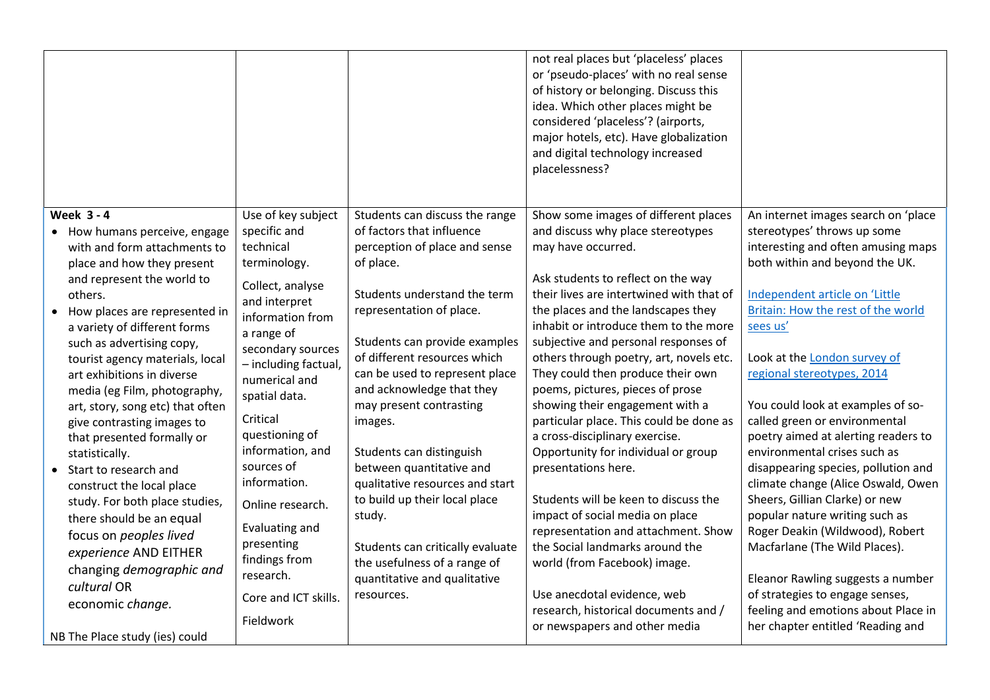|                                                                                                                                                                                                                                                                                                                                                                                                                                                                                                                                                                                                                                                                                                                |                                                                                                                                                                                                                                                                                                                                                                                                                              |                                                                                                                                                                                                                                                                                                                                                                                                                                                                                                                                                                                                     | not real places but 'placeless' places<br>or 'pseudo-places' with no real sense<br>of history or belonging. Discuss this<br>idea. Which other places might be<br>considered 'placeless'? (airports,<br>major hotels, etc). Have globalization<br>and digital technology increased<br>placelessness?                                                                                                                                                                                                                                                                                                                                                                                                                                                                                                                                                                                                     |                                                                                                                                                                                                                                                                                                                                                                                                                                                                                                                                                                                                                                                                                                                                                                                                                    |
|----------------------------------------------------------------------------------------------------------------------------------------------------------------------------------------------------------------------------------------------------------------------------------------------------------------------------------------------------------------------------------------------------------------------------------------------------------------------------------------------------------------------------------------------------------------------------------------------------------------------------------------------------------------------------------------------------------------|------------------------------------------------------------------------------------------------------------------------------------------------------------------------------------------------------------------------------------------------------------------------------------------------------------------------------------------------------------------------------------------------------------------------------|-----------------------------------------------------------------------------------------------------------------------------------------------------------------------------------------------------------------------------------------------------------------------------------------------------------------------------------------------------------------------------------------------------------------------------------------------------------------------------------------------------------------------------------------------------------------------------------------------------|---------------------------------------------------------------------------------------------------------------------------------------------------------------------------------------------------------------------------------------------------------------------------------------------------------------------------------------------------------------------------------------------------------------------------------------------------------------------------------------------------------------------------------------------------------------------------------------------------------------------------------------------------------------------------------------------------------------------------------------------------------------------------------------------------------------------------------------------------------------------------------------------------------|--------------------------------------------------------------------------------------------------------------------------------------------------------------------------------------------------------------------------------------------------------------------------------------------------------------------------------------------------------------------------------------------------------------------------------------------------------------------------------------------------------------------------------------------------------------------------------------------------------------------------------------------------------------------------------------------------------------------------------------------------------------------------------------------------------------------|
| <b>Week 3-4</b><br>• How humans perceive, engage<br>with and form attachments to<br>place and how they present<br>and represent the world to<br>others.<br>How places are represented in<br>a variety of different forms<br>such as advertising copy,<br>tourist agency materials, local<br>art exhibitions in diverse<br>media (eg Film, photography,<br>art, story, song etc) that often<br>give contrasting images to<br>that presented formally or<br>statistically.<br>Start to research and<br>construct the local place<br>study. For both place studies,<br>there should be an equal<br>focus on peoples lived<br>experience AND EITHER<br>changing demographic and<br>cultural OR<br>economic change. | Use of key subject<br>specific and<br>technical<br>terminology.<br>Collect, analyse<br>and interpret<br>information from<br>a range of<br>secondary sources<br>- including factual,<br>numerical and<br>spatial data.<br>Critical<br>questioning of<br>information, and<br>sources of<br>information.<br>Online research.<br>Evaluating and<br>presenting<br>findings from<br>research.<br>Core and ICT skills.<br>Fieldwork | Students can discuss the range<br>of factors that influence<br>perception of place and sense<br>of place.<br>Students understand the term<br>representation of place.<br>Students can provide examples<br>of different resources which<br>can be used to represent place<br>and acknowledge that they<br>may present contrasting<br>images.<br>Students can distinguish<br>between quantitative and<br>qualitative resources and start<br>to build up their local place<br>study.<br>Students can critically evaluate<br>the usefulness of a range of<br>quantitative and qualitative<br>resources. | Show some images of different places<br>and discuss why place stereotypes<br>may have occurred.<br>Ask students to reflect on the way<br>their lives are intertwined with that of<br>the places and the landscapes they<br>inhabit or introduce them to the more<br>subjective and personal responses of<br>others through poetry, art, novels etc.<br>They could then produce their own<br>poems, pictures, pieces of prose<br>showing their engagement with a<br>particular place. This could be done as<br>a cross-disciplinary exercise.<br>Opportunity for individual or group<br>presentations here.<br>Students will be keen to discuss the<br>impact of social media on place<br>representation and attachment. Show<br>the Social landmarks around the<br>world (from Facebook) image.<br>Use anecdotal evidence, web<br>research, historical documents and /<br>or newspapers and other media | An internet images search on 'place<br>stereotypes' throws up some<br>interesting and often amusing maps<br>both within and beyond the UK.<br>Independent article on 'Little<br>Britain: How the rest of the world<br>sees us'<br>Look at the London survey of<br>regional stereotypes, 2014<br>You could look at examples of so-<br>called green or environmental<br>poetry aimed at alerting readers to<br>environmental crises such as<br>disappearing species, pollution and<br>climate change (Alice Oswald, Owen<br>Sheers, Gillian Clarke) or new<br>popular nature writing such as<br>Roger Deakin (Wildwood), Robert<br>Macfarlane (The Wild Places).<br>Eleanor Rawling suggests a number<br>of strategies to engage senses,<br>feeling and emotions about Place in<br>her chapter entitled 'Reading and |
| NB The Place study (ies) could                                                                                                                                                                                                                                                                                                                                                                                                                                                                                                                                                                                                                                                                                 |                                                                                                                                                                                                                                                                                                                                                                                                                              |                                                                                                                                                                                                                                                                                                                                                                                                                                                                                                                                                                                                     |                                                                                                                                                                                                                                                                                                                                                                                                                                                                                                                                                                                                                                                                                                                                                                                                                                                                                                         |                                                                                                                                                                                                                                                                                                                                                                                                                                                                                                                                                                                                                                                                                                                                                                                                                    |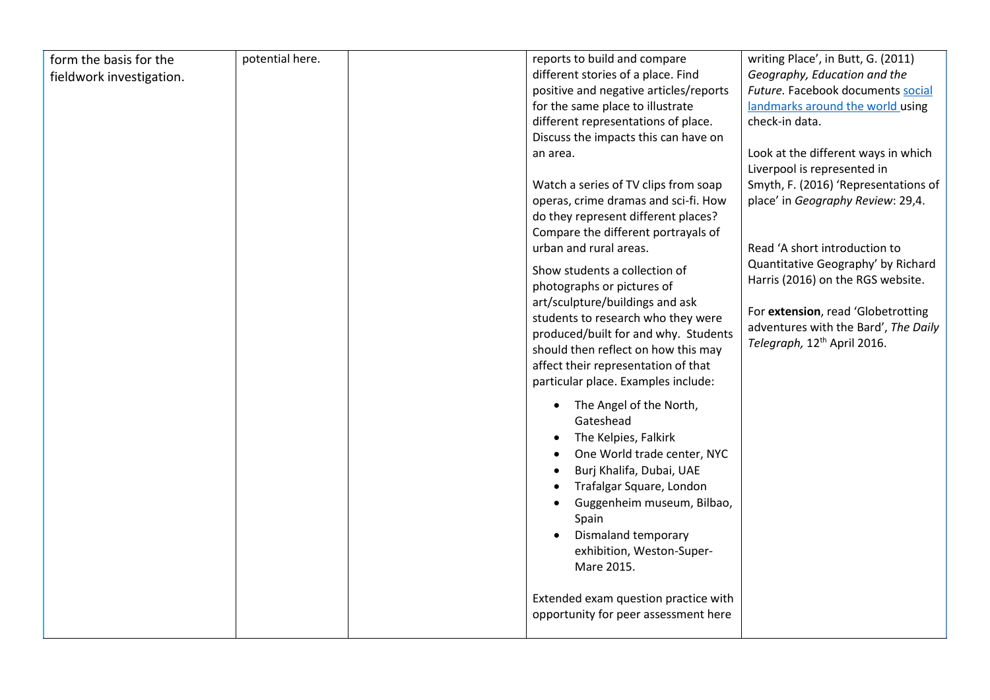| form the basis for the   | potential here. | reports to build and compare                                | writing Place', in Butt, G. (2011)                                                                         |
|--------------------------|-----------------|-------------------------------------------------------------|------------------------------------------------------------------------------------------------------------|
| fieldwork investigation. |                 | different stories of a place. Find                          | Geography, Education and the                                                                               |
|                          |                 | positive and negative articles/reports                      | Future. Facebook documents social                                                                          |
|                          |                 | for the same place to illustrate                            | landmarks around the world using                                                                           |
|                          |                 | different representations of place.                         | check-in data.                                                                                             |
|                          |                 | Discuss the impacts this can have on                        |                                                                                                            |
|                          |                 | an area.<br>Watch a series of TV clips from soap            | Look at the different ways in which<br>Liverpool is represented in<br>Smyth, F. (2016) 'Representations of |
|                          |                 | operas, crime dramas and sci-fi. How                        | place' in Geography Review: 29,4.                                                                          |
|                          |                 | do they represent different places?                         |                                                                                                            |
|                          |                 | Compare the different portrayals of                         |                                                                                                            |
|                          |                 | urban and rural areas.                                      | Read 'A short introduction to                                                                              |
|                          |                 |                                                             | Quantitative Geography' by Richard                                                                         |
|                          |                 | Show students a collection of<br>photographs or pictures of | Harris (2016) on the RGS website.                                                                          |
|                          |                 | art/sculpture/buildings and ask                             | For extension, read 'Globetrotting                                                                         |
|                          |                 | students to research who they were                          | adventures with the Bard', The Daily                                                                       |
|                          |                 | produced/built for and why. Students                        | Telegraph, 12 <sup>th</sup> April 2016.                                                                    |
|                          |                 | should then reflect on how this may                         |                                                                                                            |
|                          |                 | affect their representation of that                         |                                                                                                            |
|                          |                 | particular place. Examples include:                         |                                                                                                            |
|                          |                 | The Angel of the North,<br>$\bullet$                        |                                                                                                            |
|                          |                 | Gateshead                                                   |                                                                                                            |
|                          |                 | The Kelpies, Falkirk                                        |                                                                                                            |
|                          |                 | One World trade center, NYC                                 |                                                                                                            |
|                          |                 | Burj Khalifa, Dubai, UAE                                    |                                                                                                            |
|                          |                 | Trafalgar Square, London                                    |                                                                                                            |
|                          |                 | Guggenheim museum, Bilbao,                                  |                                                                                                            |
|                          |                 | Spain                                                       |                                                                                                            |
|                          |                 | Dismaland temporary                                         |                                                                                                            |
|                          |                 | exhibition, Weston-Super-                                   |                                                                                                            |
|                          |                 | Mare 2015.                                                  |                                                                                                            |
|                          |                 |                                                             |                                                                                                            |
|                          |                 | Extended exam question practice with                        |                                                                                                            |
|                          |                 | opportunity for peer assessment here                        |                                                                                                            |
|                          |                 |                                                             |                                                                                                            |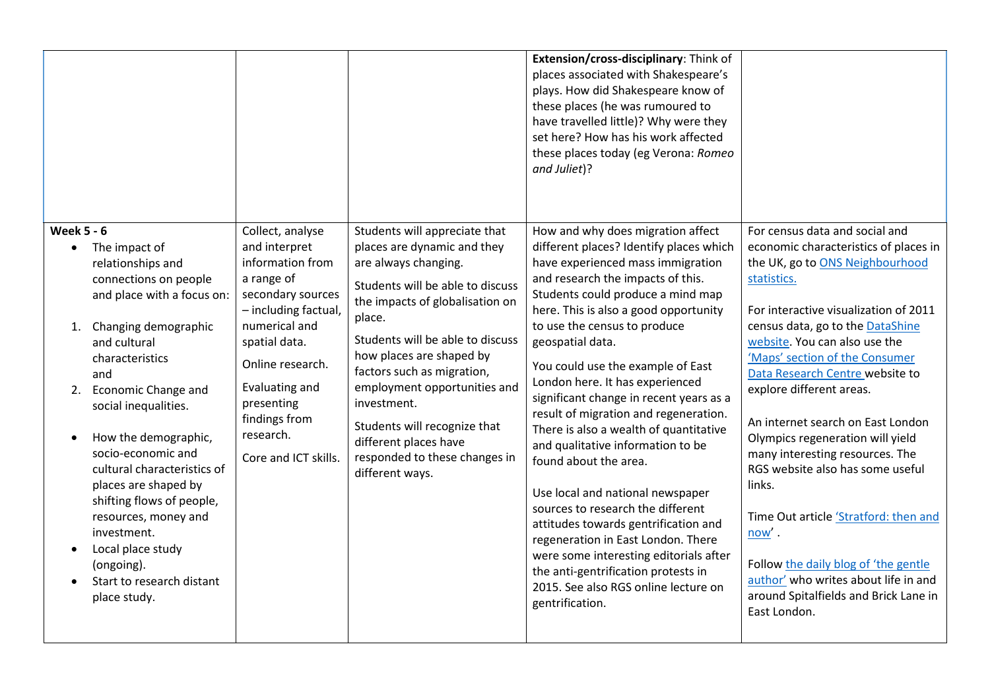|                                                                                                                                                                                                                                                                                                                                                                                                                                                                                                     |                                                                                                                                                                                                                                                              |                                                                                                                                                                                                                                                                                                                                                                                                                                 | Extension/cross-disciplinary: Think of<br>places associated with Shakespeare's<br>plays. How did Shakespeare know of<br>these places (he was rumoured to<br>have travelled little)? Why were they<br>set here? How has his work affected<br>these places today (eg Verona: Romeo<br>and Juliet)?                                                                                                                                                                                                                                                                                                                                                                                                                                                                                                                                                                |                                                                                                                                                                                                                                                                                                                                                                                                                                                                                                                                                                                                                                                                                                  |
|-----------------------------------------------------------------------------------------------------------------------------------------------------------------------------------------------------------------------------------------------------------------------------------------------------------------------------------------------------------------------------------------------------------------------------------------------------------------------------------------------------|--------------------------------------------------------------------------------------------------------------------------------------------------------------------------------------------------------------------------------------------------------------|---------------------------------------------------------------------------------------------------------------------------------------------------------------------------------------------------------------------------------------------------------------------------------------------------------------------------------------------------------------------------------------------------------------------------------|-----------------------------------------------------------------------------------------------------------------------------------------------------------------------------------------------------------------------------------------------------------------------------------------------------------------------------------------------------------------------------------------------------------------------------------------------------------------------------------------------------------------------------------------------------------------------------------------------------------------------------------------------------------------------------------------------------------------------------------------------------------------------------------------------------------------------------------------------------------------|--------------------------------------------------------------------------------------------------------------------------------------------------------------------------------------------------------------------------------------------------------------------------------------------------------------------------------------------------------------------------------------------------------------------------------------------------------------------------------------------------------------------------------------------------------------------------------------------------------------------------------------------------------------------------------------------------|
| <b>Week 5 - 6</b><br>• The impact of<br>relationships and<br>connections on people<br>and place with a focus on:<br>Changing demographic<br>1.<br>and cultural<br>characteristics<br>and<br>2. Economic Change and<br>social inequalities.<br>How the demographic,<br>socio-economic and<br>cultural characteristics of<br>places are shaped by<br>shifting flows of people,<br>resources, money and<br>investment.<br>Local place study<br>(ongoing).<br>Start to research distant<br>place study. | Collect, analyse<br>and interpret<br>information from<br>a range of<br>secondary sources<br>- including factual,<br>numerical and<br>spatial data.<br>Online research.<br>Evaluating and<br>presenting<br>findings from<br>research.<br>Core and ICT skills. | Students will appreciate that<br>places are dynamic and they<br>are always changing.<br>Students will be able to discuss<br>the impacts of globalisation on<br>place.<br>Students will be able to discuss<br>how places are shaped by<br>factors such as migration,<br>employment opportunities and<br>investment.<br>Students will recognize that<br>different places have<br>responded to these changes in<br>different ways. | How and why does migration affect<br>different places? Identify places which<br>have experienced mass immigration<br>and research the impacts of this.<br>Students could produce a mind map<br>here. This is also a good opportunity<br>to use the census to produce<br>geospatial data.<br>You could use the example of East<br>London here. It has experienced<br>significant change in recent years as a<br>result of migration and regeneration.<br>There is also a wealth of quantitative<br>and qualitative information to be<br>found about the area.<br>Use local and national newspaper<br>sources to research the different<br>attitudes towards gentrification and<br>regeneration in East London. There<br>were some interesting editorials after<br>the anti-gentrification protests in<br>2015. See also RGS online lecture on<br>gentrification. | For census data and social and<br>economic characteristics of places in<br>the UK, go to ONS Neighbourhood<br>statistics.<br>For interactive visualization of 2011<br>census data, go to the DataShine<br>website. You can also use the<br>'Maps' section of the Consumer<br>Data Research Centre website to<br>explore different areas.<br>An internet search on East London<br>Olympics regeneration will yield<br>many interesting resources. The<br>RGS website also has some useful<br>links.<br>Time Out article 'Stratford: then and<br>$now'$ .<br>Follow the daily blog of 'the gentle<br>author' who writes about life in and<br>around Spitalfields and Brick Lane in<br>East London. |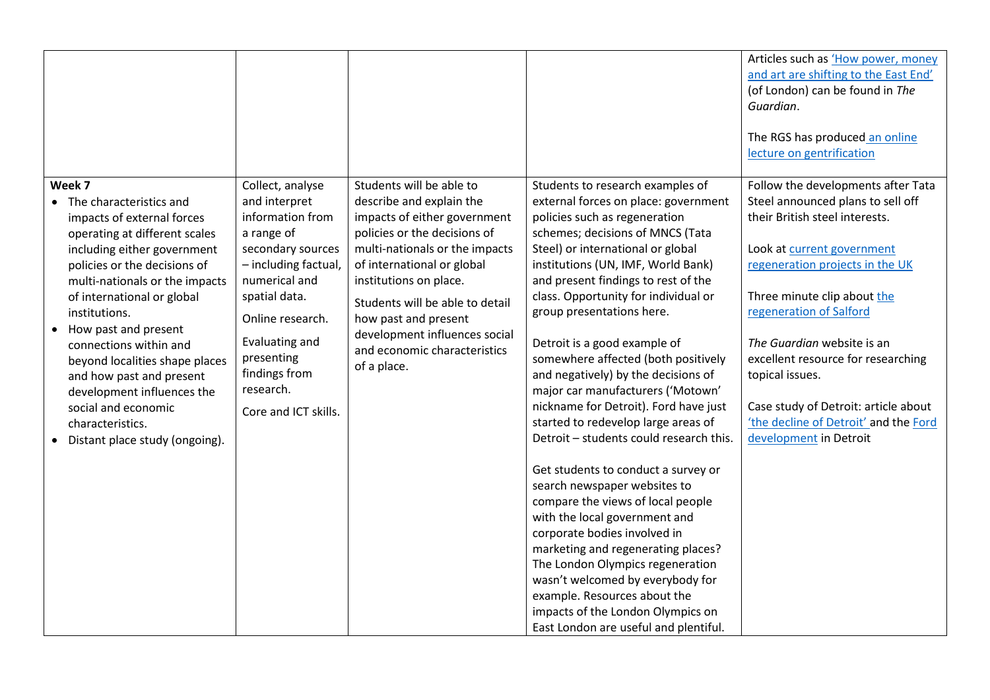|                                                                                                                                                                                                                                                                                                                                                                                                                                                                               |                                                                                                                                                                                                                                                              |                                                                                                                                                                                                                                                                                                                                                           |                                                                                                                                                                                                                                                                                                                                                                                                                                                                                                                                                                                                                                                                                                                                                                                                                                                                                                                                                                                                                             | Articles such as 'How power, money<br>and art are shifting to the East End'<br>(of London) can be found in The<br>Guardian.<br>The RGS has produced an online<br>lecture on gentrification                                                                                                                                                                                                                                             |
|-------------------------------------------------------------------------------------------------------------------------------------------------------------------------------------------------------------------------------------------------------------------------------------------------------------------------------------------------------------------------------------------------------------------------------------------------------------------------------|--------------------------------------------------------------------------------------------------------------------------------------------------------------------------------------------------------------------------------------------------------------|-----------------------------------------------------------------------------------------------------------------------------------------------------------------------------------------------------------------------------------------------------------------------------------------------------------------------------------------------------------|-----------------------------------------------------------------------------------------------------------------------------------------------------------------------------------------------------------------------------------------------------------------------------------------------------------------------------------------------------------------------------------------------------------------------------------------------------------------------------------------------------------------------------------------------------------------------------------------------------------------------------------------------------------------------------------------------------------------------------------------------------------------------------------------------------------------------------------------------------------------------------------------------------------------------------------------------------------------------------------------------------------------------------|----------------------------------------------------------------------------------------------------------------------------------------------------------------------------------------------------------------------------------------------------------------------------------------------------------------------------------------------------------------------------------------------------------------------------------------|
| Week 7<br>• The characteristics and<br>impacts of external forces<br>operating at different scales<br>including either government<br>policies or the decisions of<br>multi-nationals or the impacts<br>of international or global<br>institutions.<br>How past and present<br>connections within and<br>beyond localities shape places<br>and how past and present<br>development influences the<br>social and economic<br>characteristics.<br>Distant place study (ongoing). | Collect, analyse<br>and interpret<br>information from<br>a range of<br>secondary sources<br>- including factual,<br>numerical and<br>spatial data.<br>Online research.<br>Evaluating and<br>presenting<br>findings from<br>research.<br>Core and ICT skills. | Students will be able to<br>describe and explain the<br>impacts of either government<br>policies or the decisions of<br>multi-nationals or the impacts<br>of international or global<br>institutions on place.<br>Students will be able to detail<br>how past and present<br>development influences social<br>and economic characteristics<br>of a place. | Students to research examples of<br>external forces on place: government<br>policies such as regeneration<br>schemes; decisions of MNCS (Tata<br>Steel) or international or global<br>institutions (UN, IMF, World Bank)<br>and present findings to rest of the<br>class. Opportunity for individual or<br>group presentations here.<br>Detroit is a good example of<br>somewhere affected (both positively<br>and negatively) by the decisions of<br>major car manufacturers ('Motown'<br>nickname for Detroit). Ford have just<br>started to redevelop large areas of<br>Detroit - students could research this.<br>Get students to conduct a survey or<br>search newspaper websites to<br>compare the views of local people<br>with the local government and<br>corporate bodies involved in<br>marketing and regenerating places?<br>The London Olympics regeneration<br>wasn't welcomed by everybody for<br>example. Resources about the<br>impacts of the London Olympics on<br>East London are useful and plentiful. | Follow the developments after Tata<br>Steel announced plans to sell off<br>their British steel interests.<br>Look at current government<br>regeneration projects in the UK<br>Three minute clip about the<br>regeneration of Salford<br>The Guardian website is an<br>excellent resource for researching<br>topical issues.<br>Case study of Detroit: article about<br>'the decline of Detroit' and the Ford<br>development in Detroit |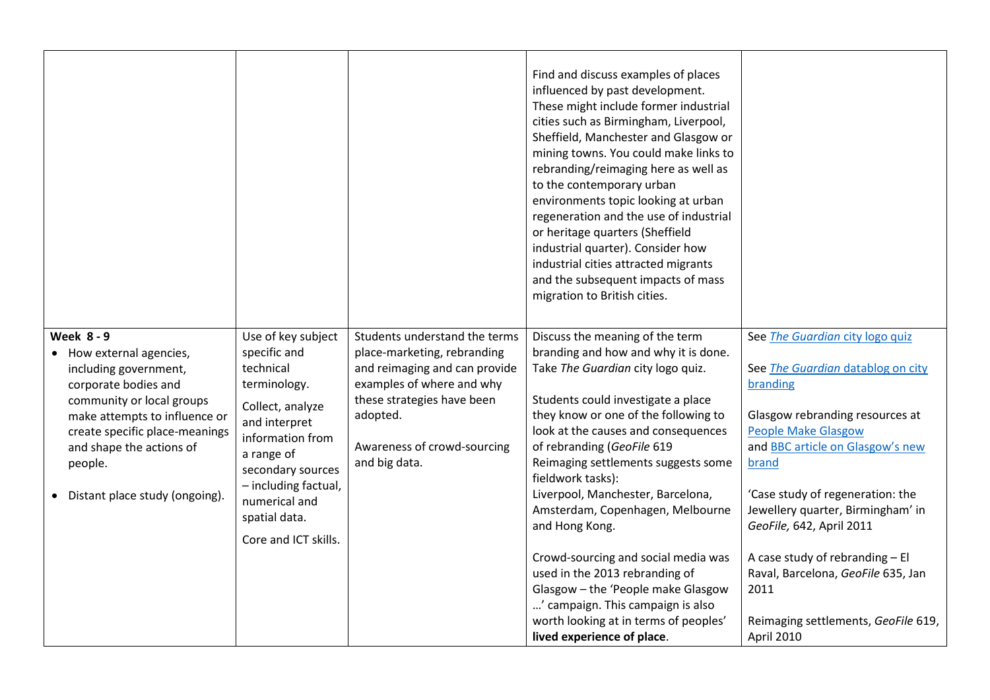|                                                                                                                                                                                                                                                                         |                                                                                                                                                                                                                                               |                                                                                                                                                                                                                      | Find and discuss examples of places<br>influenced by past development.<br>These might include former industrial<br>cities such as Birmingham, Liverpool,<br>Sheffield, Manchester and Glasgow or<br>mining towns. You could make links to<br>rebranding/reimaging here as well as<br>to the contemporary urban<br>environments topic looking at urban<br>regeneration and the use of industrial<br>or heritage quarters (Sheffield<br>industrial quarter). Consider how<br>industrial cities attracted migrants<br>and the subsequent impacts of mass<br>migration to British cities.                               |                                                                                                                                                                                                                                                                                                                                                                                                                                    |
|-------------------------------------------------------------------------------------------------------------------------------------------------------------------------------------------------------------------------------------------------------------------------|-----------------------------------------------------------------------------------------------------------------------------------------------------------------------------------------------------------------------------------------------|----------------------------------------------------------------------------------------------------------------------------------------------------------------------------------------------------------------------|---------------------------------------------------------------------------------------------------------------------------------------------------------------------------------------------------------------------------------------------------------------------------------------------------------------------------------------------------------------------------------------------------------------------------------------------------------------------------------------------------------------------------------------------------------------------------------------------------------------------|------------------------------------------------------------------------------------------------------------------------------------------------------------------------------------------------------------------------------------------------------------------------------------------------------------------------------------------------------------------------------------------------------------------------------------|
| <b>Week 8-9</b><br>• How external agencies,<br>including government,<br>corporate bodies and<br>community or local groups<br>make attempts to influence or<br>create specific place-meanings<br>and shape the actions of<br>people.<br>• Distant place study (ongoing). | Use of key subject<br>specific and<br>technical<br>terminology.<br>Collect, analyze<br>and interpret<br>information from<br>a range of<br>secondary sources<br>- including factual,<br>numerical and<br>spatial data.<br>Core and ICT skills. | Students understand the terms<br>place-marketing, rebranding<br>and reimaging and can provide<br>examples of where and why<br>these strategies have been<br>adopted.<br>Awareness of crowd-sourcing<br>and big data. | Discuss the meaning of the term<br>branding and how and why it is done.<br>Take The Guardian city logo quiz.<br>Students could investigate a place<br>they know or one of the following to<br>look at the causes and consequences<br>of rebranding (GeoFile 619<br>Reimaging settlements suggests some<br>fieldwork tasks):<br>Liverpool, Manchester, Barcelona,<br>Amsterdam, Copenhagen, Melbourne<br>and Hong Kong.<br>Crowd-sourcing and social media was<br>used in the 2013 rebranding of<br>Glasgow - the 'People make Glasgow<br>' campaign. This campaign is also<br>worth looking at in terms of peoples' | See The Guardian city logo quiz<br>See The Guardian datablog on city<br>branding<br>Glasgow rebranding resources at<br><b>People Make Glasgow</b><br>and <b>BBC</b> article on Glasgow's new<br>brand<br>'Case study of regeneration: the<br>Jewellery quarter, Birmingham' in<br>GeoFile, 642, April 2011<br>A case study of rebranding - El<br>Raval, Barcelona, GeoFile 635, Jan<br>2011<br>Reimaging settlements, GeoFile 619, |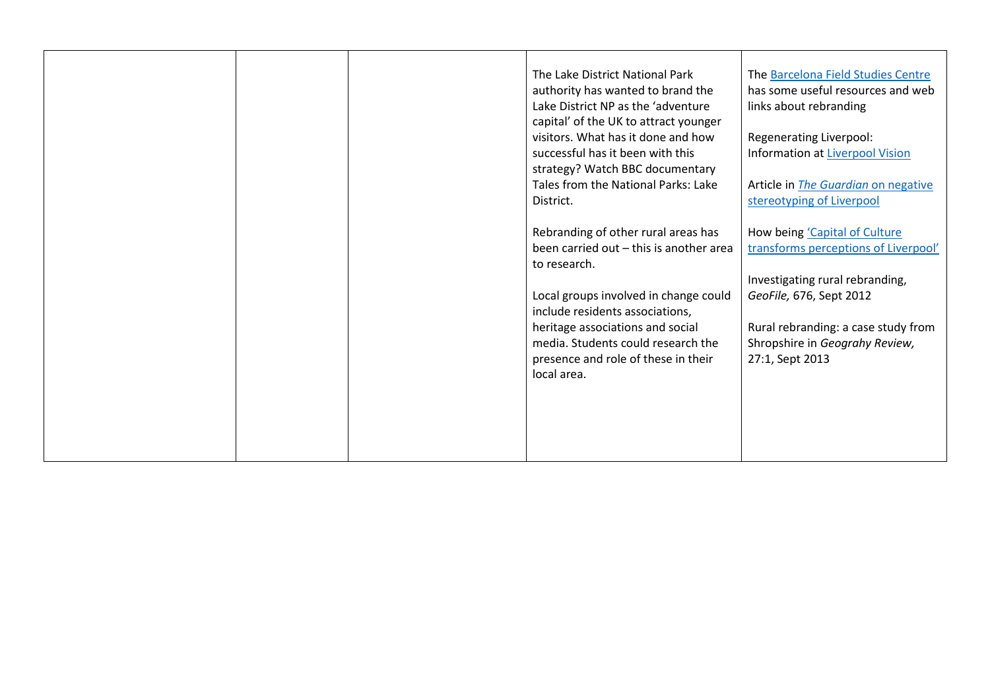|  | The Lake District National Park<br>authority has wanted to brand the<br>Lake District NP as the 'adventure<br>capital' of the UK to attract younger<br>visitors. What has it done and how | The Barcelona Field Studies Centre<br>has some useful resources and web<br>links about rebranding<br>Regenerating Liverpool: |
|--|-------------------------------------------------------------------------------------------------------------------------------------------------------------------------------------------|------------------------------------------------------------------------------------------------------------------------------|
|  | successful has it been with this<br>strategy? Watch BBC documentary                                                                                                                       | <b>Information at Liverpool Vision</b>                                                                                       |
|  | Tales from the National Parks: Lake                                                                                                                                                       | Article in The Guardian on negative                                                                                          |
|  | District.                                                                                                                                                                                 | stereotyping of Liverpool                                                                                                    |
|  | Rebranding of other rural areas has                                                                                                                                                       | How being 'Capital of Culture                                                                                                |
|  | been carried out - this is another area                                                                                                                                                   | transforms perceptions of Liverpool'                                                                                         |
|  | to research.                                                                                                                                                                              |                                                                                                                              |
|  |                                                                                                                                                                                           | Investigating rural rebranding,                                                                                              |
|  | Local groups involved in change could<br>include residents associations,                                                                                                                  | GeoFile, 676, Sept 2012                                                                                                      |
|  | heritage associations and social                                                                                                                                                          | Rural rebranding: a case study from                                                                                          |
|  | media. Students could research the<br>presence and role of these in their<br>local area.                                                                                                  | Shropshire in Geograhy Review,<br>27:1, Sept 2013                                                                            |
|  |                                                                                                                                                                                           |                                                                                                                              |
|  |                                                                                                                                                                                           |                                                                                                                              |
|  |                                                                                                                                                                                           |                                                                                                                              |
|  |                                                                                                                                                                                           |                                                                                                                              |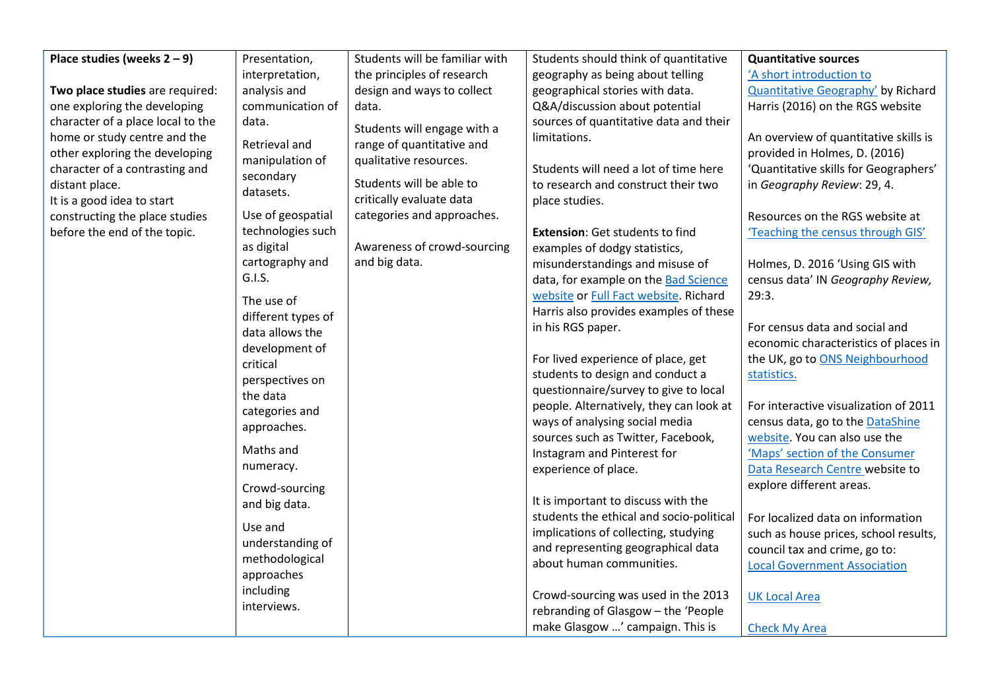| Place studies (weeks $2 - 9$ )    | Presentation,          | Students will be familiar with | Students should think of quantitative    | <b>Quantitative sources</b>               |
|-----------------------------------|------------------------|--------------------------------|------------------------------------------|-------------------------------------------|
|                                   | interpretation,        | the principles of research     | geography as being about telling         | 'A short introduction to                  |
| Two place studies are required:   | analysis and           | design and ways to collect     | geographical stories with data.          | <b>Quantitative Geography'</b> by Richard |
| one exploring the developing      | communication of       | data.                          | Q&A/discussion about potential           | Harris (2016) on the RGS website          |
| character of a place local to the | data.                  |                                | sources of quantitative data and their   |                                           |
| home or study centre and the      |                        | Students will engage with a    | limitations.                             | An overview of quantitative skills is     |
| other exploring the developing    | Retrieval and          | range of quantitative and      |                                          | provided in Holmes, D. (2016)             |
| character of a contrasting and    | manipulation of        | qualitative resources.         | Students will need a lot of time here    | 'Quantitative skills for Geographers'     |
| distant place.                    | secondary<br>datasets. | Students will be able to       | to research and construct their two      | in Geography Review: 29, 4.               |
| It is a good idea to start        |                        | critically evaluate data       | place studies.                           |                                           |
| constructing the place studies    | Use of geospatial      | categories and approaches.     |                                          | Resources on the RGS website at           |
| before the end of the topic.      | technologies such      |                                | Extension: Get students to find          | 'Teaching the census through GIS'         |
|                                   | as digital             | Awareness of crowd-sourcing    | examples of dodgy statistics,            |                                           |
|                                   | cartography and        | and big data.                  | misunderstandings and misuse of          | Holmes, D. 2016 'Using GIS with           |
|                                   | G.I.S.                 |                                | data, for example on the Bad Science     | census data' IN Geography Review,         |
|                                   | The use of             |                                | website or Full Fact website. Richard    | 29:3.                                     |
|                                   | different types of     |                                | Harris also provides examples of these   |                                           |
|                                   | data allows the        |                                | in his RGS paper.                        | For census data and social and            |
|                                   | development of         |                                |                                          | economic characteristics of places in     |
|                                   | critical               |                                | For lived experience of place, get       | the UK, go to ONS Neighbourhood           |
|                                   | perspectives on        |                                | students to design and conduct a         | statistics.                               |
|                                   | the data               |                                | questionnaire/survey to give to local    |                                           |
|                                   | categories and         |                                | people. Alternatively, they can look at  | For interactive visualization of 2011     |
|                                   | approaches.            |                                | ways of analysing social media           | census data, go to the DataShine          |
|                                   |                        |                                | sources such as Twitter, Facebook,       | website. You can also use the             |
|                                   | Maths and              |                                | Instagram and Pinterest for              | 'Maps' section of the Consumer            |
|                                   | numeracy.              |                                | experience of place.                     | Data Research Centre website to           |
|                                   | Crowd-sourcing         |                                |                                          | explore different areas.                  |
|                                   | and big data.          |                                | It is important to discuss with the      |                                           |
|                                   | Use and                |                                | students the ethical and socio-political | For localized data on information         |
|                                   | understanding of       |                                | implications of collecting, studying     | such as house prices, school results,     |
|                                   | methodological         |                                | and representing geographical data       | council tax and crime, go to:             |
|                                   | approaches             |                                | about human communities.                 | <b>Local Government Association</b>       |
|                                   | including              |                                |                                          |                                           |
|                                   | interviews.            |                                | Crowd-sourcing was used in the 2013      | <b>UK Local Area</b>                      |
|                                   |                        |                                | rebranding of Glasgow - the 'People      |                                           |
|                                   |                        |                                | make Glasgow ' campaign. This is         | <b>Check My Area</b>                      |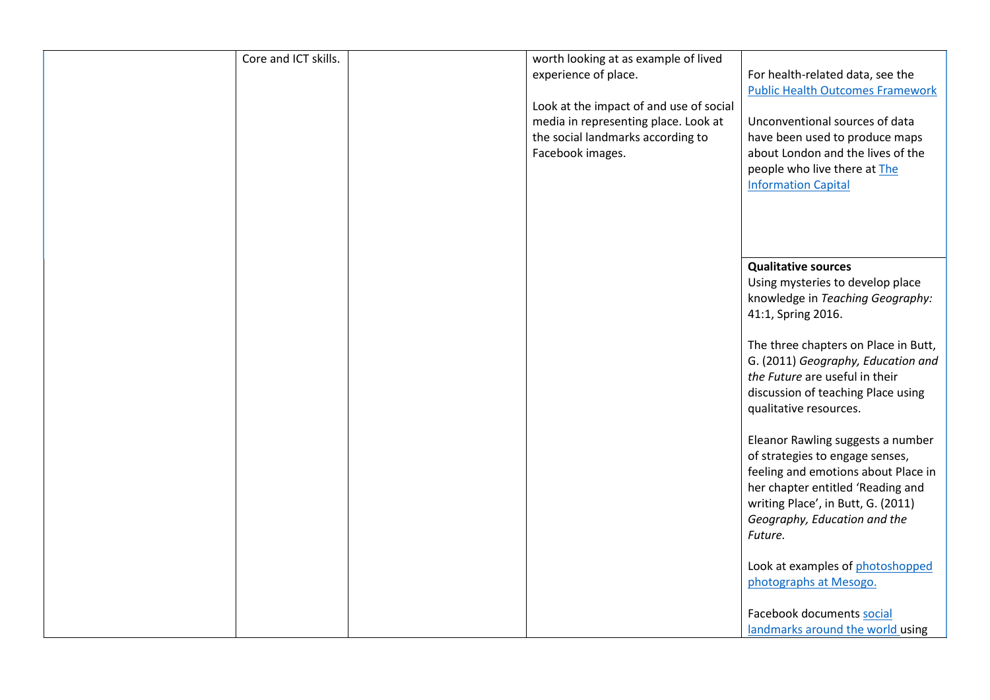| Core and ICT skills. | worth looking at as example of lived<br>experience of place.<br>Look at the impact of and use of social<br>media in representing place. Look at<br>the social landmarks according to<br>Facebook images. | For health-related data, see the<br><b>Public Health Outcomes Framework</b><br>Unconventional sources of data<br>have been used to produce maps<br>about London and the lives of the<br>people who live there at The                                        |
|----------------------|----------------------------------------------------------------------------------------------------------------------------------------------------------------------------------------------------------|-------------------------------------------------------------------------------------------------------------------------------------------------------------------------------------------------------------------------------------------------------------|
|                      |                                                                                                                                                                                                          | <b>Information Capital</b><br><b>Qualitative sources</b><br>Using mysteries to develop place                                                                                                                                                                |
|                      |                                                                                                                                                                                                          | knowledge in Teaching Geography:<br>41:1, Spring 2016.<br>The three chapters on Place in Butt,<br>G. (2011) Geography, Education and<br>the Future are useful in their<br>discussion of teaching Place using                                                |
|                      |                                                                                                                                                                                                          | qualitative resources.<br>Eleanor Rawling suggests a number<br>of strategies to engage senses,<br>feeling and emotions about Place in<br>her chapter entitled 'Reading and<br>writing Place', in Butt, G. (2011)<br>Geography, Education and the<br>Future. |
|                      |                                                                                                                                                                                                          | Look at examples of photoshopped<br>photographs at Mesogo.<br>Facebook documents social<br>landmarks around the world using                                                                                                                                 |